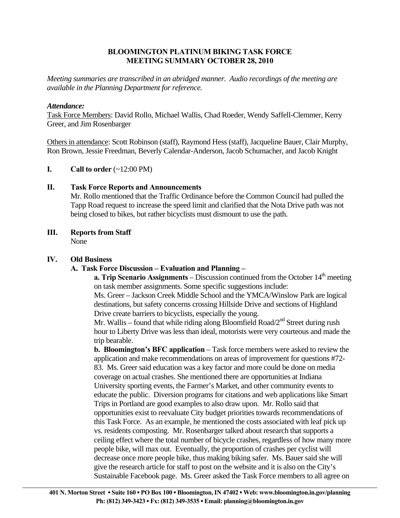## **BLOOMINGTON PLATINUM BIKING TASK FORCE MEETING SUMMARY OCTOBER 28, 2010**

*Meeting summaries are transcribed in an abridged manner. Audio recordings of the meeting are available in the Planning Department for reference.* 

### *Attendance:*

Task Force Members: David Rollo, Michael Wallis, Chad Roeder, Wendy Saffell-Clemmer, Kerry Greer, and Jim Rosenbarger

Others in attendance: Scott Robinson (staff), Raymond Hess (staff), Jacqueline Bauer, Clair Murphy, Ron Brown, Jessie Freedman, Beverly Calendar-Anderson, Jacob Schumacher, and Jacob Knight

**I.** Call to order  $(\sim 12:00 \text{ PM})$ 

# **II. Task Force Reports and Announcements**

 Mr. Rollo mentioned that the Traffic Ordinance before the Common Council had pulled the Tapp Road request to increase the speed limit and clarified that the Nota Drive path was not being closed to bikes, but rather bicyclists must dismount to use the path.

# **III. Reports from Staff**

None

# **IV. Old Business**

# **A. Task Force Discussion – Evaluation and Planning –**

**a. Trip Scenario Assignments** – Discussion continued from the October  $14<sup>th</sup>$  meeting on task member assignments. Some specific suggestions include:

Ms. Greer – Jackson Creek Middle School and the YMCA/Winslow Park are logical destinations, but safety concerns crossing Hillside Drive and sections of Highland Drive create barriers to bicyclists, especially the young.

Mr. Wallis – found that while riding along Bloomfield Road/ $2<sup>nd</sup>$  Street during rush hour to Liberty Drive was less than ideal, motorists were very courteous and made the trip bearable.

**b. Bloomington's BFC application** – Task force members were asked to review the application and make recommendations on areas of improvement for questions #72- 83. Ms. Greer said education was a key factor and more could be done on media coverage on actual crashes. She mentioned there are opportunities at Indiana University sporting events, the Farmer's Market, and other community events to educate the public. Diversion programs for citations and web applications like Smart Trips in Portland are good examples to also draw upon. Mr. Rollo said that opportunities exist to reevaluate City budget priorities towards recommendations of this Task Force. As an example, he mentioned the costs associated with leaf pick up vs. residents composting. Mr. Rosenbarger talked about research that supports a ceiling effect where the total number of bicycle crashes, regardless of how many more people bike, will max out. Eventually, the proportion of crashes per cyclist will decrease once more people bike, thus making biking safer. Ms. Bauer said she will give the research article for staff to post on the website and it is also on the City's Sustainable Facebook page. Ms. Greer asked the Task Force members to all agree on